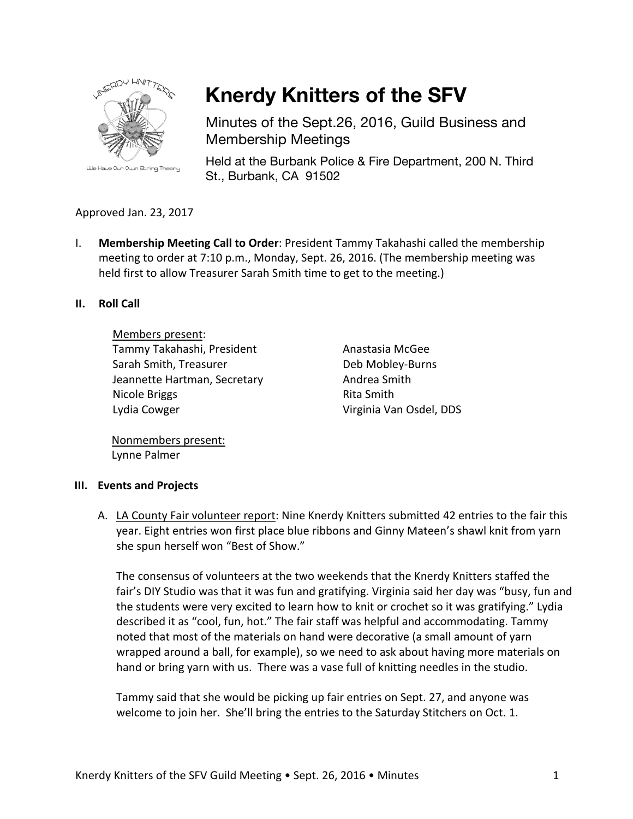

# **Knerdy Knitters of the SFV**

Minutes of the Sept.26, 2016, Guild Business and Membership Meetings

Held at the Burbank Police & Fire Department, 200 N. Third St., Burbank, CA 91502

## Approved Jan. 23, 2017

I. **Membership Meeting Call to Order**: President Tammy Takahashi called the membership meeting to order at  $7:10$  p.m., Monday, Sept. 26, 2016. (The membership meeting was held first to allow Treasurer Sarah Smith time to get to the meeting.)

## **II.** Roll Call

Members present: Tammy Takahashi, President Sarah Smith, Treasurer Jeannette Hartman, Secretary Nicole Briggs Lydia Cowger

Anastasia McGee Deb Mobley-Burns Andrea Smith Rita Smith Virginia Van Osdel, DDS

Nonmembers present: Lynne Palmer

## **III.** Events and Projects

A. LA County Fair volunteer report: Nine Knerdy Knitters submitted 42 entries to the fair this year. Eight entries won first place blue ribbons and Ginny Mateen's shawl knit from yarn she spun herself won "Best of Show."

The consensus of volunteers at the two weekends that the Knerdy Knitters staffed the fair's DIY Studio was that it was fun and gratifying. Virginia said her day was "busy, fun and the students were very excited to learn how to knit or crochet so it was gratifying." Lydia described it as "cool, fun, hot." The fair staff was helpful and accommodating. Tammy noted that most of the materials on hand were decorative (a small amount of yarn wrapped around a ball, for example), so we need to ask about having more materials on hand or bring yarn with us. There was a vase full of knitting needles in the studio.

Tammy said that she would be picking up fair entries on Sept. 27, and anyone was welcome to join her. She'll bring the entries to the Saturday Stitchers on Oct. 1.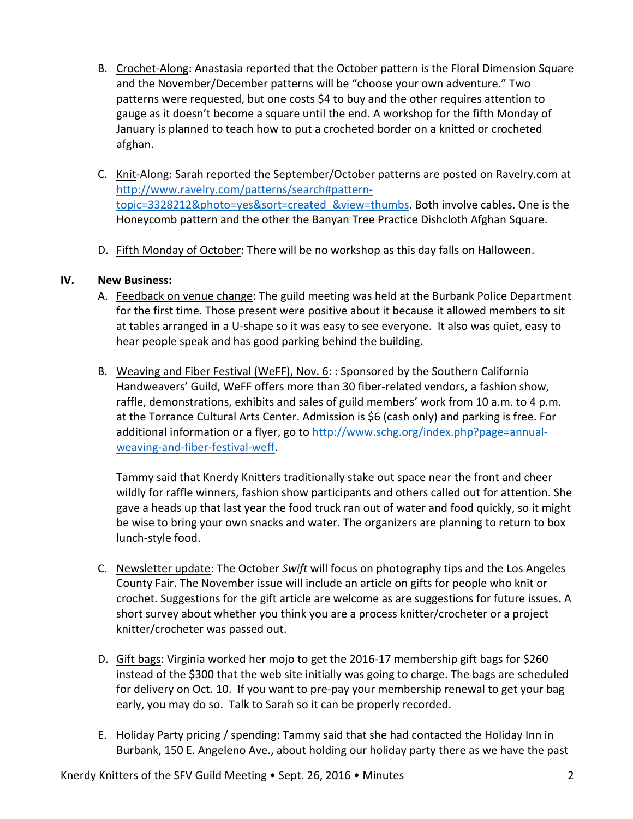- B. Crochet-Along: Anastasia reported that the October pattern is the Floral Dimension Square and the November/December patterns will be "choose your own adventure." Two patterns were requested, but one costs \$4 to buy and the other requires attention to gauge as it doesn't become a square until the end. A workshop for the fifth Monday of January is planned to teach how to put a crocheted border on a knitted or crocheted afghan.
- C. Knit-Along: Sarah reported the September/October patterns are posted on Ravelry.com at http://www.ravelry.com/patterns/search#patterntopic=3328212&photo=yes&sort=created\_&view=thumbs. Both involve cables. One is the Honeycomb pattern and the other the Banyan Tree Practice Dishcloth Afghan Square.
- D. Fifth Monday of October: There will be no workshop as this day falls on Halloween.

## **IV. New Business:**

- A. Feedback on venue change: The guild meeting was held at the Burbank Police Department for the first time. Those present were positive about it because it allowed members to sit at tables arranged in a U-shape so it was easy to see everyone. It also was quiet, easy to hear people speak and has good parking behind the building.
- B. Weaving and Fiber Festival (WeFF), Nov. 6: : Sponsored by the Southern California Handweavers' Guild, WeFF offers more than 30 fiber-related vendors, a fashion show, raffle, demonstrations, exhibits and sales of guild members' work from 10 a.m. to 4 p.m. at the Torrance Cultural Arts Center. Admission is \$6 (cash only) and parking is free. For additional information or a flyer, go to http://www.schg.org/index.php?page=annualweaving-and-fiber-festival-weff.

Tammy said that Knerdy Knitters traditionally stake out space near the front and cheer wildly for raffle winners, fashion show participants and others called out for attention. She gave a heads up that last year the food truck ran out of water and food quickly, so it might be wise to bring your own snacks and water. The organizers are planning to return to box lunch-style food.

- C. Newsletter update: The October Swift will focus on photography tips and the Los Angeles County Fair. The November issue will include an article on gifts for people who knit or crochet. Suggestions for the gift article are welcome as are suggestions for future issues**.** A short survey about whether you think you are a process knitter/crocheter or a project knitter/crocheter was passed out.
- D. Gift bags: Virginia worked her mojo to get the 2016-17 membership gift bags for \$260 instead of the \$300 that the web site initially was going to charge. The bags are scheduled for delivery on Oct. 10. If you want to pre-pay your membership renewal to get your bag early, you may do so. Talk to Sarah so it can be properly recorded.
- E. Holiday Party pricing / spending: Tammy said that she had contacted the Holiday Inn in Burbank, 150 E. Angeleno Ave., about holding our holiday party there as we have the past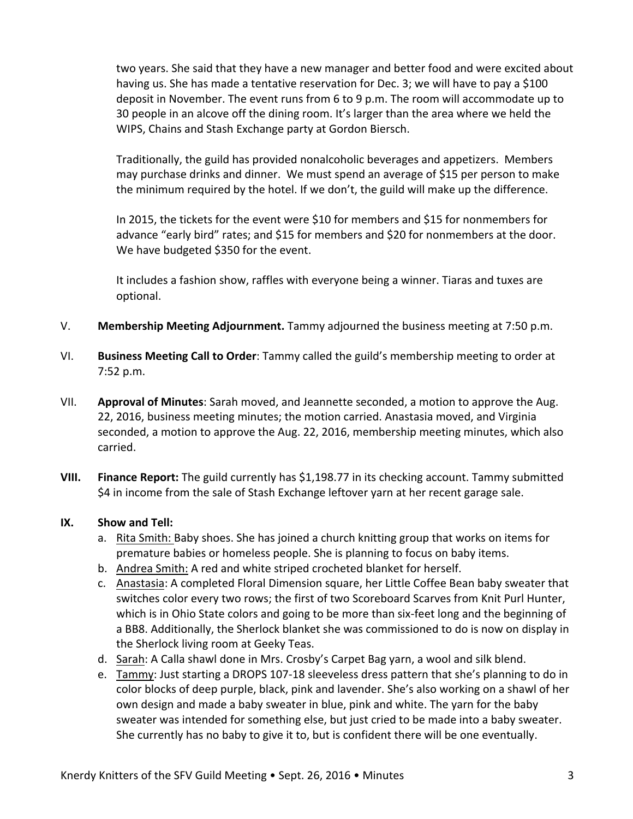two years. She said that they have a new manager and better food and were excited about having us. She has made a tentative reservation for Dec. 3; we will have to pay a \$100 deposit in November. The event runs from 6 to 9 p.m. The room will accommodate up to 30 people in an alcove off the dining room. It's larger than the area where we held the WIPS, Chains and Stash Exchange party at Gordon Biersch.

Traditionally, the guild has provided nonalcoholic beverages and appetizers. Members may purchase drinks and dinner. We must spend an average of \$15 per person to make the minimum required by the hotel. If we don't, the guild will make up the difference.

In 2015, the tickets for the event were \$10 for members and \$15 for nonmembers for advance "early bird" rates; and \$15 for members and \$20 for nonmembers at the door. We have budgeted \$350 for the event.

It includes a fashion show, raffles with everyone being a winner. Tiaras and tuxes are optional.

- V. Membership Meeting Adjournment. Tammy adjourned the business meeting at 7:50 p.m.
- VI. **Business Meeting Call to Order**: Tammy called the guild's membership meeting to order at 7:52 p.m.
- VII. **Approval of Minutes**: Sarah moved, and Jeannette seconded, a motion to approve the Aug. 22, 2016, business meeting minutes; the motion carried. Anastasia moved, and Virginia seconded, a motion to approve the Aug. 22, 2016, membership meeting minutes, which also carried.
- **VIII.** Finance Report: The guild currently has \$1,198.77 in its checking account. Tammy submitted \$4 in income from the sale of Stash Exchange leftover yarn at her recent garage sale.

## **IX.** Show and Tell:

- a. Rita Smith: Baby shoes. She has joined a church knitting group that works on items for premature babies or homeless people. She is planning to focus on baby items.
- b. Andrea Smith: A red and white striped crocheted blanket for herself.
- c. Anastasia: A completed Floral Dimension square, her Little Coffee Bean baby sweater that switches color every two rows; the first of two Scoreboard Scarves from Knit Purl Hunter, which is in Ohio State colors and going to be more than six-feet long and the beginning of a BB8. Additionally, the Sherlock blanket she was commissioned to do is now on display in the Sherlock living room at Geeky Teas.
- d. Sarah: A Calla shawl done in Mrs. Crosby's Carpet Bag yarn, a wool and silk blend.
- e. Tammy: Just starting a DROPS 107-18 sleeveless dress pattern that she's planning to do in color blocks of deep purple, black, pink and lavender. She's also working on a shawl of her own design and made a baby sweater in blue, pink and white. The yarn for the baby sweater was intended for something else, but just cried to be made into a baby sweater. She currently has no baby to give it to, but is confident there will be one eventually.